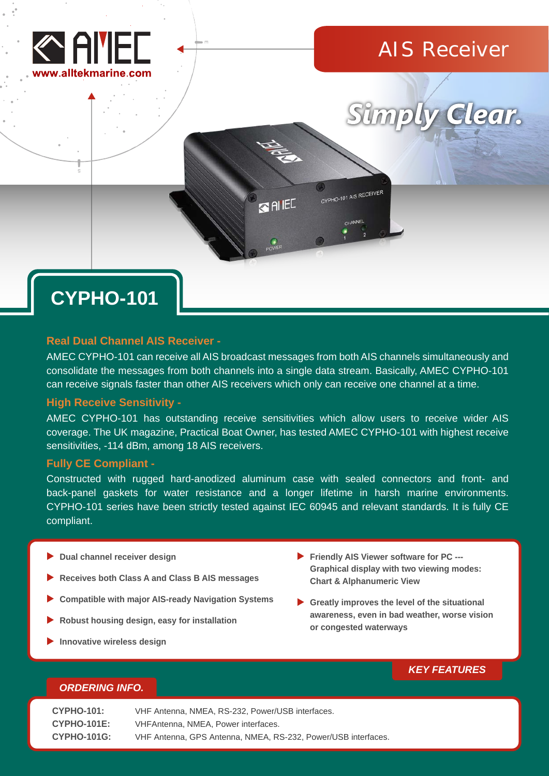

# AIS Receiver



**RAIEL** 

CYPHO-101 AIS RECEIVER

CHANNEL

# **CYPHO-101**

# **Real Dual Channel AIS Receiver -**

AMEC CYPHO-101 can receive all AIS broadcast messages from both AIS channels simultaneously and consolidate the messages from both channels into a single data stream. Basically, AMEC CYPHO-101 can receive signals faster than other AIS receivers which only can receive one channel at a time.

# **High Receive Sensitivity -**

AMEC CYPHO-101 has outstanding receive sensitivities which allow users to receive wider AIS coverage. The UK magazine, Practical Boat Owner, has tested AMEC CYPHO-101 with highest receive sensitivities, -114 dBm, among 18 AIS receivers.

# **Fully CE Compliant -**

Constructed with rugged hard-anodized aluminum case with sealed connectors and front- and back-panel gaskets for water resistance and a longer lifetime in harsh marine environments. CYPHO-101 series have been strictly tested against IEC 60945 and relevant standards. It is fully CE compliant.

- **Dual channel receiver design**
- **Receives both Class A and Class B AIS messages**
- **Compatible with major AIS-ready Navigation Systems**
- **Robust housing design, easy for installation**
- **Innovative wireless design**
- **Friendly AIS Viewer software for PC --- Graphical display with two viewing modes: Chart & Alphanumeric View**
- **Greatly improves the level of the situational awareness, even in bad weather, worse vision or congested waterways**

# *KEY FEATURES*

# *ORDERING INFO.*

**CYPHO-101:** VHF Antenna, NMEA, RS-232, Power/USB interfaces. **CYPHO-101E:** VHFAntenna, NMEA, Power interfaces. **CYPHO-101G:** VHF Antenna, GPS Antenna, NMEA, RS-232, Power/USB interfaces.